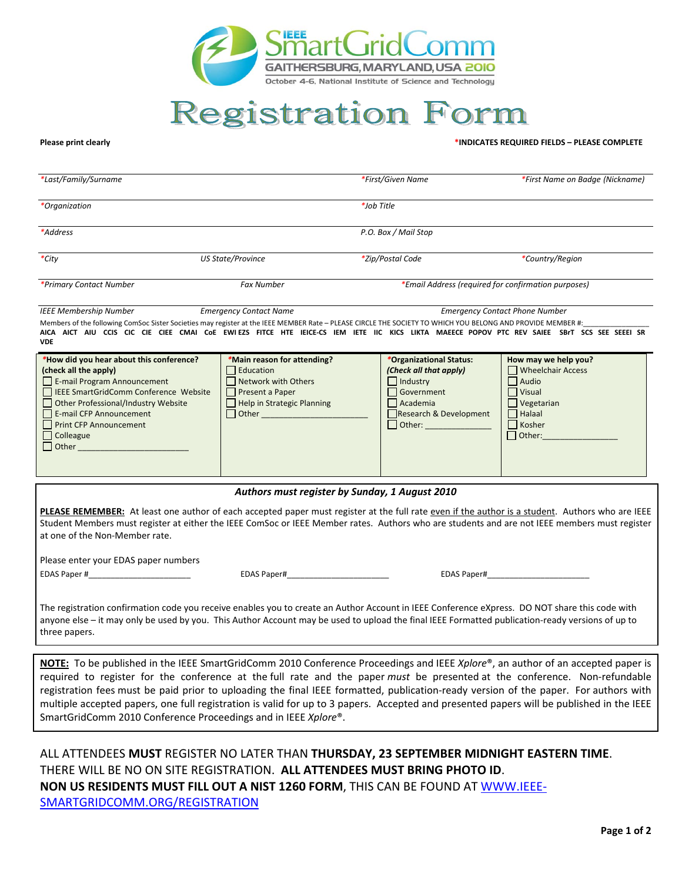

## **Registration Form**

## **Please print clearly****\*INDICATES REQUIRED FIELDS – PLEASE COMPLETE**

| *Last/Family/Surname    |                          | *First/Given Name                                   | *First Name on Badge (Nickname) |
|-------------------------|--------------------------|-----------------------------------------------------|---------------------------------|
| *Organization           |                          | *Job Title                                          |                                 |
| *Address                |                          | P.O. Box / Mail Stop                                |                                 |
| *City                   | <b>US State/Province</b> | *Zip/Postal Code                                    | *Country/Region                 |
| *Primary Contact Number | <b>Fax Number</b>        | *Email Address (required for confirmation purposes) |                                 |

*IEEE Membership Number Emergency Contact Name Emergency Contact Phone Number*  Members of the following ComSoc Sister Societies may register at the IEEE MEMBER Rate – PLEASE CIRCLE THE SOCIETY TO WHICH YOU BELONG AND PROVIDE MEMBER #: **AICA AICT AIU CCIS CIC CIE CIEE CMAI CoE EWI EZS FITCE HTE IEICE-CS IEM IETE IIC KICS LIKTA MAEECE POPOV PTC REV SAIEE SBrT SCS SEE SEEEI SR VDE**

| *How did you hear about this conference? | *Main reason for attending? | *Organizational Status: | How may we help you? |
|------------------------------------------|-----------------------------|-------------------------|----------------------|
| (check all the apply)                    | Education                   | (Check all that apply)  | Wheelchair Access    |
| E-mail Program Announcement              | Network with Others         | Industry                | Audio                |
| □ IEEE SmartGridComm Conference Website  | <b>Present a Paper</b>      | Government              | Visual               |
| Other Professional/Industry Website      | Help in Strategic Planning  | Academia                | Vegetarian           |
| E-mail CFP Announcement                  | Other                       | Research & Development  | Halaal               |
| Print CFP Announcement                   |                             | $\Box$ Other:           | Kosher               |
| $\Box$ Colleague                         |                             |                         | Other:               |
| $\Box$ Other                             |                             |                         |                      |
|                                          |                             |                         |                      |
|                                          |                             |                         |                      |

## *Authors must register by Sunday, 1 August 2010*

**PLEASE REMEMBER:** At least one author of each accepted paper must register at the full rate even if the author is a student. Authors who are IEEE Student Members must register at either the IEEE ComSoc or IEEE Member rates. Authors who are students and are not IEEE members must register at one of the Non-Member rate.

Please enter your EDAS paper numbers

EDAS Paper #\_\_\_\_\_\_\_\_\_\_\_\_\_\_\_\_\_\_\_\_\_\_\_ EDAS Paper#\_\_\_\_\_\_\_\_\_\_\_\_\_\_\_\_\_\_\_\_\_\_\_ EDAS Paper#\_\_\_\_\_\_\_\_\_\_\_\_\_\_\_\_\_\_\_\_\_\_\_

The registration confirmation code you receive enables you to create an Author Account in IEEE Conference eXpress. DO NOT share this code with anyone else – it may only be used by you. This Author Account may be used to upload the final IEEE Formatted publication-ready versions of up to three papers.

**NOTE:** To be published in the IEEE SmartGridComm 2010 Conference Proceedings and IEEE *Xplore*®, an author of an accepted paper is required to register for the conference at the full rate and the paper *must* be presented at the conference. Non-refundable registration fees must be paid prior to uploading the final IEEE formatted, publication-ready version of the paper. For authors with multiple accepted papers, one full registration is valid for up to 3 papers. Accepted and presented papers will be published in the IEEE SmartGridComm 2010 Conference Proceedings and in IEEE *Xplore*®.

ALL ATTENDEES **MUST** REGISTER NO LATER THAN **THURSDAY, 23 SEPTEMBER MIDNIGHT EASTERN TIME**. THERE WILL BE NO ON SITE REGISTRATION. **ALL ATTENDEES MUST BRING PHOTO ID**. **NON US RESIDENTS MUST FILL OUT A NIST 1260 FORM**, THIS CAN BE FOUND AT WWW.IEEE-SMARTGRIDCOMM.ORG/REGISTRATION